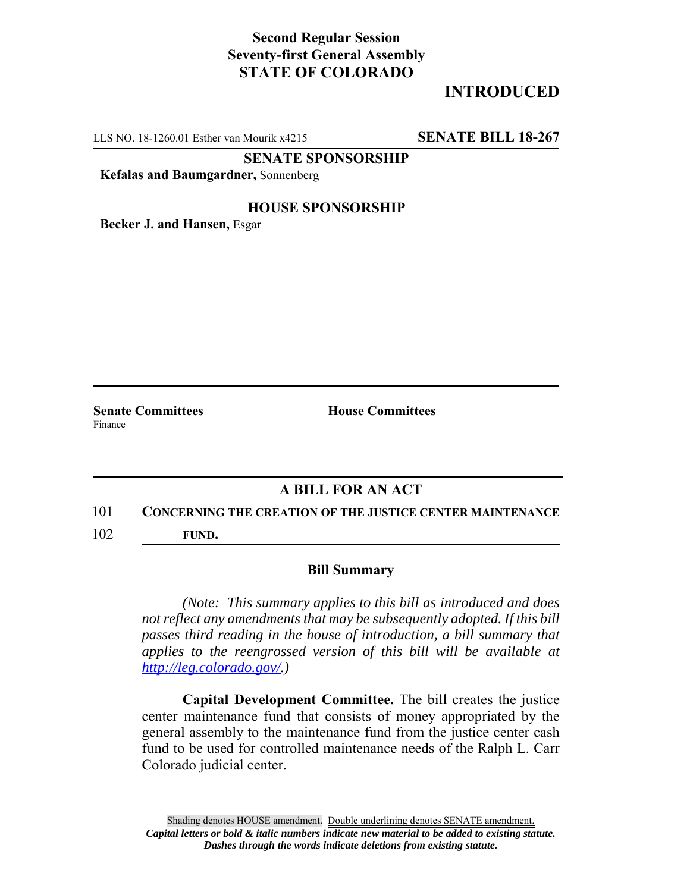## **Second Regular Session Seventy-first General Assembly STATE OF COLORADO**

# **INTRODUCED**

LLS NO. 18-1260.01 Esther van Mourik x4215 **SENATE BILL 18-267**

**SENATE SPONSORSHIP**

**Kefalas and Baumgardner,** Sonnenberg

### **HOUSE SPONSORSHIP**

**Becker J. and Hansen,** Esgar

**Senate Committees House Committees** Finance

## **A BILL FOR AN ACT**

#### 101 **CONCERNING THE CREATION OF THE JUSTICE CENTER MAINTENANCE**

102 **FUND.**

### **Bill Summary**

*(Note: This summary applies to this bill as introduced and does not reflect any amendments that may be subsequently adopted. If this bill passes third reading in the house of introduction, a bill summary that applies to the reengrossed version of this bill will be available at http://leg.colorado.gov/.)*

**Capital Development Committee.** The bill creates the justice center maintenance fund that consists of money appropriated by the general assembly to the maintenance fund from the justice center cash fund to be used for controlled maintenance needs of the Ralph L. Carr Colorado judicial center.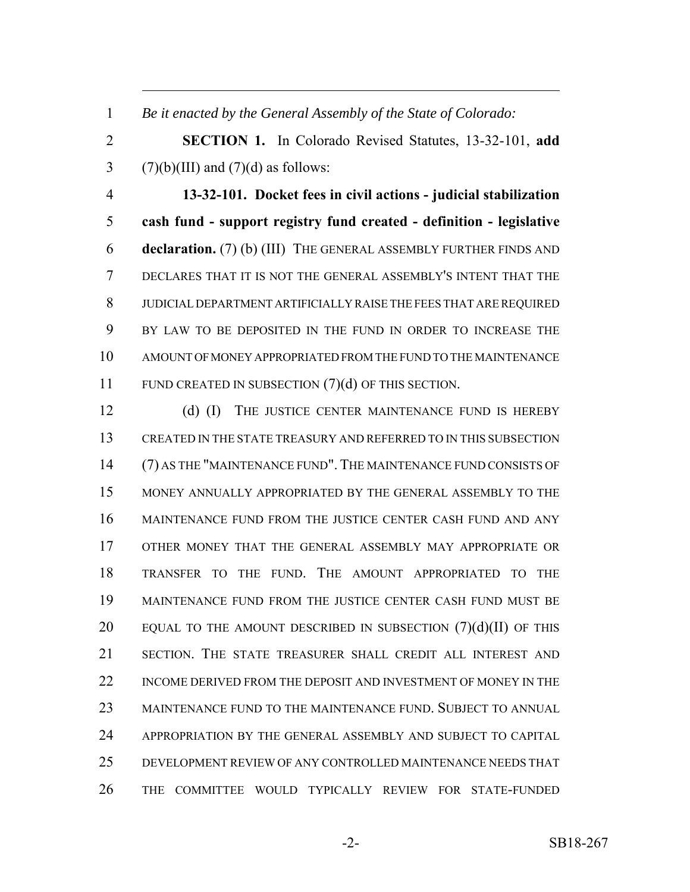*Be it enacted by the General Assembly of the State of Colorado:*

 **SECTION 1.** In Colorado Revised Statutes, 13-32-101, **add** 3 (7)(b)(III) and (7)(d) as follows:

 **13-32-101. Docket fees in civil actions - judicial stabilization cash fund - support registry fund created - definition - legislative declaration.** (7) (b) (III) THE GENERAL ASSEMBLY FURTHER FINDS AND DECLARES THAT IT IS NOT THE GENERAL ASSEMBLY'S INTENT THAT THE JUDICIAL DEPARTMENT ARTIFICIALLY RAISE THE FEES THAT ARE REQUIRED BY LAW TO BE DEPOSITED IN THE FUND IN ORDER TO INCREASE THE AMOUNT OF MONEY APPROPRIATED FROM THE FUND TO THE MAINTENANCE 11 FUND CREATED IN SUBSECTION (7)(d) OF THIS SECTION.

12 (d) (I) THE JUSTICE CENTER MAINTENANCE FUND IS HEREBY CREATED IN THE STATE TREASURY AND REFERRED TO IN THIS SUBSECTION (7) AS THE "MAINTENANCE FUND". THE MAINTENANCE FUND CONSISTS OF MONEY ANNUALLY APPROPRIATED BY THE GENERAL ASSEMBLY TO THE MAINTENANCE FUND FROM THE JUSTICE CENTER CASH FUND AND ANY OTHER MONEY THAT THE GENERAL ASSEMBLY MAY APPROPRIATE OR TRANSFER TO THE FUND. THE AMOUNT APPROPRIATED TO THE MAINTENANCE FUND FROM THE JUSTICE CENTER CASH FUND MUST BE 20 EQUAL TO THE AMOUNT DESCRIBED IN SUBSECTION  $(7)(d)(II)$  OF THIS SECTION. THE STATE TREASURER SHALL CREDIT ALL INTEREST AND INCOME DERIVED FROM THE DEPOSIT AND INVESTMENT OF MONEY IN THE MAINTENANCE FUND TO THE MAINTENANCE FUND. SUBJECT TO ANNUAL APPROPRIATION BY THE GENERAL ASSEMBLY AND SUBJECT TO CAPITAL DEVELOPMENT REVIEW OF ANY CONTROLLED MAINTENANCE NEEDS THAT THE COMMITTEE WOULD TYPICALLY REVIEW FOR STATE-FUNDED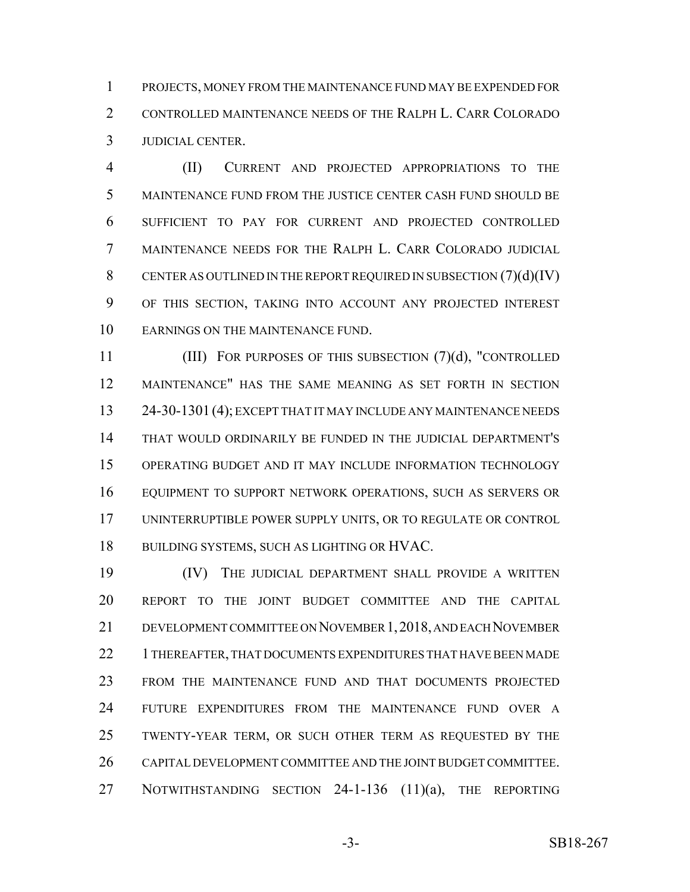PROJECTS, MONEY FROM THE MAINTENANCE FUND MAY BE EXPENDED FOR CONTROLLED MAINTENANCE NEEDS OF THE RALPH L. CARR COLORADO JUDICIAL CENTER.

 (II) CURRENT AND PROJECTED APPROPRIATIONS TO THE MAINTENANCE FUND FROM THE JUSTICE CENTER CASH FUND SHOULD BE SUFFICIENT TO PAY FOR CURRENT AND PROJECTED CONTROLLED MAINTENANCE NEEDS FOR THE RALPH L. CARR COLORADO JUDICIAL 8 CENTER AS OUTLINED IN THE REPORT REQUIRED IN SUBSECTION  $(7)(d)(IV)$  OF THIS SECTION, TAKING INTO ACCOUNT ANY PROJECTED INTEREST EARNINGS ON THE MAINTENANCE FUND.

 (III) FOR PURPOSES OF THIS SUBSECTION (7)(d), "CONTROLLED MAINTENANCE" HAS THE SAME MEANING AS SET FORTH IN SECTION 24-30-1301 (4); EXCEPT THAT IT MAY INCLUDE ANY MAINTENANCE NEEDS THAT WOULD ORDINARILY BE FUNDED IN THE JUDICIAL DEPARTMENT'S OPERATING BUDGET AND IT MAY INCLUDE INFORMATION TECHNOLOGY EQUIPMENT TO SUPPORT NETWORK OPERATIONS, SUCH AS SERVERS OR UNINTERRUPTIBLE POWER SUPPLY UNITS, OR TO REGULATE OR CONTROL BUILDING SYSTEMS, SUCH AS LIGHTING OR HVAC.

 (IV) THE JUDICIAL DEPARTMENT SHALL PROVIDE A WRITTEN REPORT TO THE JOINT BUDGET COMMITTEE AND THE CAPITAL DEVELOPMENT COMMITTEE ON NOVEMBER 1,2018, AND EACH NOVEMBER 22 1 THEREAFTER, THAT DOCUMENTS EXPENDITURES THAT HAVE BEEN MADE FROM THE MAINTENANCE FUND AND THAT DOCUMENTS PROJECTED FUTURE EXPENDITURES FROM THE MAINTENANCE FUND OVER A TWENTY-YEAR TERM, OR SUCH OTHER TERM AS REQUESTED BY THE CAPITAL DEVELOPMENT COMMITTEE AND THE JOINT BUDGET COMMITTEE. 27 NOTWITHSTANDING SECTION 24-1-136 (11)(a), THE REPORTING